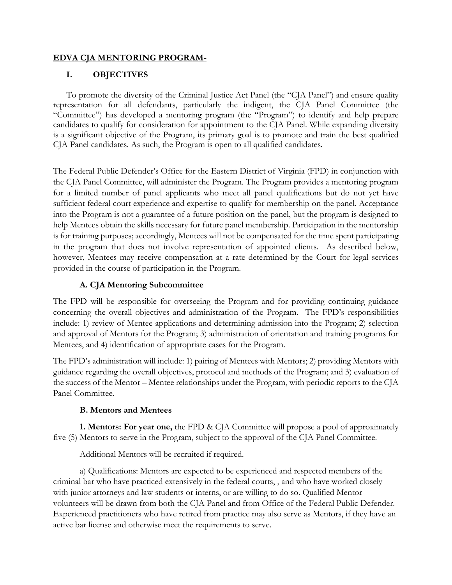### **EDVA CJA MENTORING PROGRAM-**

# **I. OBJECTIVES**

To promote the diversity of the Criminal Justice Act Panel (the "CJA Panel") and ensure quality representation for all defendants, particularly the indigent, the CJA Panel Committee (the "Committee") has developed a mentoring program (the "Program") to identify and help prepare candidates to qualify for consideration for appointment to the CJA Panel. While expanding diversity is a significant objective of the Program, its primary goal is to promote and train the best qualified CJA Panel candidates. As such, the Program is open to all qualified candidates.

The Federal Public Defender's Office for the Eastern District of Virginia (FPD) in conjunction with the CJA Panel Committee, will administer the Program. The Program provides a mentoring program for a limited number of panel applicants who meet all panel qualifications but do not yet have sufficient federal court experience and expertise to qualify for membership on the panel. Acceptance into the Program is not a guarantee of a future position on the panel, but the program is designed to help Mentees obtain the skills necessary for future panel membership. Participation in the mentorship is for training purposes; accordingly, Mentees will not be compensated for the time spent participating in the program that does not involve representation of appointed clients. As described below, however, Mentees may receive compensation at a rate determined by the Court for legal services provided in the course of participation in the Program.

# **A. CJA Mentoring Subcommittee**

The FPD will be responsible for overseeing the Program and for providing continuing guidance concerning the overall objectives and administration of the Program. The FPD's responsibilities include: 1) review of Mentee applications and determining admission into the Program; 2) selection and approval of Mentors for the Program; 3) administration of orientation and training programs for Mentees, and 4) identification of appropriate cases for the Program.

The FPD's administration will include: 1) pairing of Mentees with Mentors; 2) providing Mentors with guidance regarding the overall objectives, protocol and methods of the Program; and 3) evaluation of the success of the Mentor – Mentee relationships under the Program, with periodic reports to the CJA Panel Committee.

# **B. Mentors and Mentees**

**1. Mentors: For year one,** the FPD & CJA Committee will propose a pool of approximately five (5) Mentors to serve in the Program, subject to the approval of the CJA Panel Committee.

Additional Mentors will be recruited if required.

a) Qualifications: Mentors are expected to be experienced and respected members of the criminal bar who have practiced extensively in the federal courts, , and who have worked closely with junior attorneys and law students or interns, or are willing to do so. Qualified Mentor volunteers will be drawn from both the CJA Panel and from Office of the Federal Public Defender. Experienced practitioners who have retired from practice may also serve as Mentors, if they have an active bar license and otherwise meet the requirements to serve.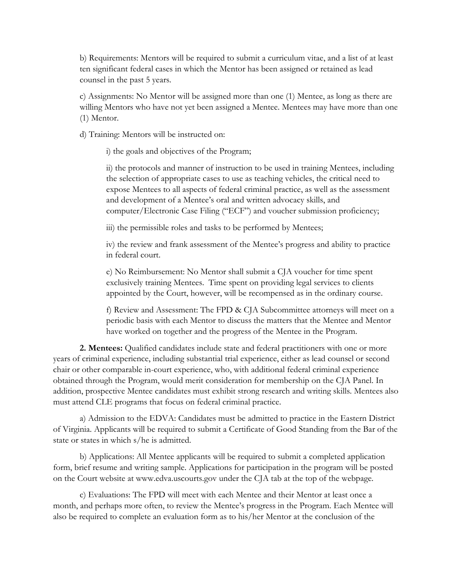b) Requirements: Mentors will be required to submit a curriculum vitae, and a list of at least ten significant federal cases in which the Mentor has been assigned or retained as lead counsel in the past 5 years.

c) Assignments: No Mentor will be assigned more than one (1) Mentee, as long as there are willing Mentors who have not yet been assigned a Mentee. Mentees may have more than one (1) Mentor.

d) Training: Mentors will be instructed on:

i) the goals and objectives of the Program;

ii) the protocols and manner of instruction to be used in training Mentees, including the selection of appropriate cases to use as teaching vehicles, the critical need to expose Mentees to all aspects of federal criminal practice, as well as the assessment and development of a Mentee's oral and written advocacy skills, and computer/Electronic Case Filing ("ECF") and voucher submission proficiency;

iii) the permissible roles and tasks to be performed by Mentees;

iv) the review and frank assessment of the Mentee's progress and ability to practice in federal court.

e) No Reimbursement: No Mentor shall submit a CJA voucher for time spent exclusively training Mentees. Time spent on providing legal services to clients appointed by the Court, however, will be recompensed as in the ordinary course.

f) Review and Assessment: The FPD & CJA Subcommittee attorneys will meet on a periodic basis with each Mentor to discuss the matters that the Mentee and Mentor have worked on together and the progress of the Mentee in the Program.

**2. Mentees:** Qualified candidates include state and federal practitioners with one or more years of criminal experience, including substantial trial experience, either as lead counsel or second chair or other comparable in-court experience, who, with additional federal criminal experience obtained through the Program, would merit consideration for membership on the CJA Panel. In addition, prospective Mentee candidates must exhibit strong research and writing skills. Mentees also must attend CLE programs that focus on federal criminal practice.

a) Admission to the EDVA: Candidates must be admitted to practice in the Eastern District of Virginia. Applicants will be required to submit a Certificate of Good Standing from the Bar of the state or states in which s/he is admitted.

b) Applications: All Mentee applicants will be required to submit a completed application form, brief resume and writing sample. Applications for participation in the program will be posted on the Court website at www.edva.uscourts.gov under the CJA tab at the top of the webpage.

c) Evaluations: The FPD will meet with each Mentee and their Mentor at least once a month, and perhaps more often, to review the Mentee's progress in the Program. Each Mentee will also be required to complete an evaluation form as to his/her Mentor at the conclusion of the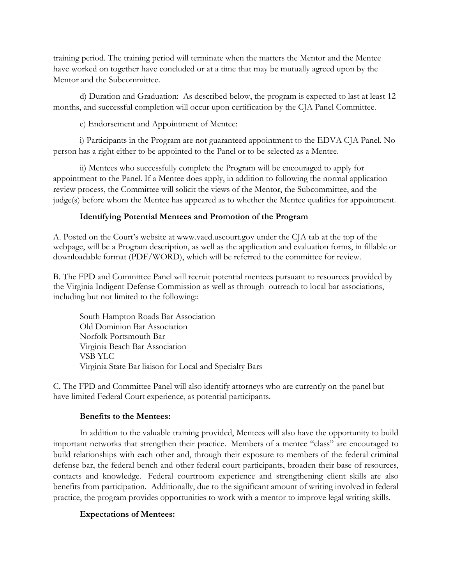training period. The training period will terminate when the matters the Mentor and the Mentee have worked on together have concluded or at a time that may be mutually agreed upon by the Mentor and the Subcommittee.

d) Duration and Graduation: As described below, the program is expected to last at least 12 months, and successful completion will occur upon certification by the CJA Panel Committee.

e) Endorsement and Appointment of Mentee:

i) Participants in the Program are not guaranteed appointment to the EDVA CJA Panel. No person has a right either to be appointed to the Panel or to be selected as a Mentee.

ii) Mentees who successfully complete the Program will be encouraged to apply for appointment to the Panel. If a Mentee does apply, in addition to following the normal application review process, the Committee will solicit the views of the Mentor, the Subcommittee, and the judge(s) before whom the Mentee has appeared as to whether the Mentee qualifies for appointment.

### **Identifying Potential Mentees and Promotion of the Program**

A. Posted on the Court's website at www.vaed.uscourt.gov under the CJA tab at the top of the webpage, will be a Program description, as well as the application and evaluation forms, in fillable or downloadable format (PDF/WORD), which will be referred to the committee for review.

B. The FPD and Committee Panel will recruit potential mentees pursuant to resources provided by the Virginia Indigent Defense Commission as well as through outreach to local bar associations, including but not limited to the following::

South Hampton Roads Bar Association Old Dominion Bar Association Norfolk Portsmouth Bar Virginia Beach Bar Association VSB YLC Virginia State Bar liaison for Local and Specialty Bars

C. The FPD and Committee Panel will also identify attorneys who are currently on the panel but have limited Federal Court experience, as potential participants.

### **Benefits to the Mentees:**

In addition to the valuable training provided, Mentees will also have the opportunity to build important networks that strengthen their practice. Members of a mentee "class" are encouraged to build relationships with each other and, through their exposure to members of the federal criminal defense bar, the federal bench and other federal court participants, broaden their base of resources, contacts and knowledge. Federal courtroom experience and strengthening client skills are also benefits from participation. Additionally, due to the significant amount of writing involved in federal practice, the program provides opportunities to work with a mentor to improve legal writing skills.

### **Expectations of Mentees:**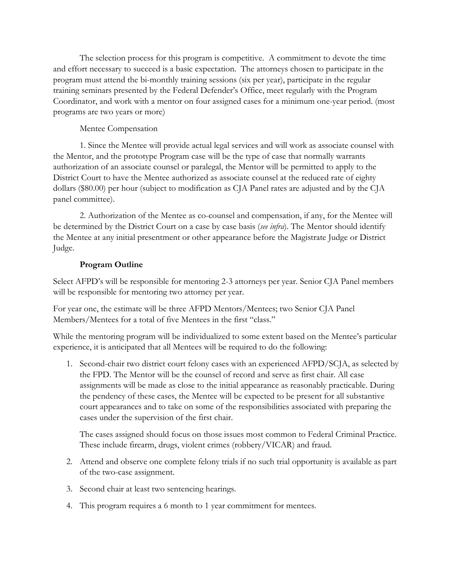The selection process for this program is competitive. A commitment to devote the time and effort necessary to succeed is a basic expectation. The attorneys chosen to participate in the program must attend the bi-monthly training sessions (six per year), participate in the regular training seminars presented by the Federal Defender's Office, meet regularly with the Program Coordinator, and work with a mentor on four assigned cases for a minimum one-year period. (most programs are two years or more)

### Mentee Compensation

1. Since the Mentee will provide actual legal services and will work as associate counsel with the Mentor, and the prototype Program case will be the type of case that normally warrants authorization of an associate counsel or paralegal, the Mentor will be permitted to apply to the District Court to have the Mentee authorized as associate counsel at the reduced rate of eighty dollars (\$80.00) per hour (subject to modification as CJA Panel rates are adjusted and by the CJA panel committee).

2. Authorization of the Mentee as co-counsel and compensation, if any, for the Mentee will be determined by the District Court on a case by case basis (*see infra*). The Mentor should identify the Mentee at any initial presentment or other appearance before the Magistrate Judge or District Judge.

### **Program Outline**

Select AFPD's will be responsible for mentoring 2-3 attorneys per year. Senior CJA Panel members will be responsible for mentoring two attorney per year.

For year one, the estimate will be three AFPD Mentors/Mentees; two Senior CJA Panel Members/Mentees for a total of five Mentees in the first "class."

While the mentoring program will be individualized to some extent based on the Mentee's particular experience, it is anticipated that all Mentees will be required to do the following:

1. Second-chair two district court felony cases with an experienced AFPD/SCJA, as selected by the FPD. The Mentor will be the counsel of record and serve as first chair. All case assignments will be made as close to the initial appearance as reasonably practicable. During the pendency of these cases, the Mentee will be expected to be present for all substantive court appearances and to take on some of the responsibilities associated with preparing the cases under the supervision of the first chair.

The cases assigned should focus on those issues most common to Federal Criminal Practice. These include firearm, drugs, violent crimes (robbery/VICAR) and fraud.

- 2. Attend and observe one complete felony trials if no such trial opportunity is available as part of the two-case assignment.
- 3. Second chair at least two sentencing hearings.
- 4. This program requires a 6 month to 1 year commitment for mentees.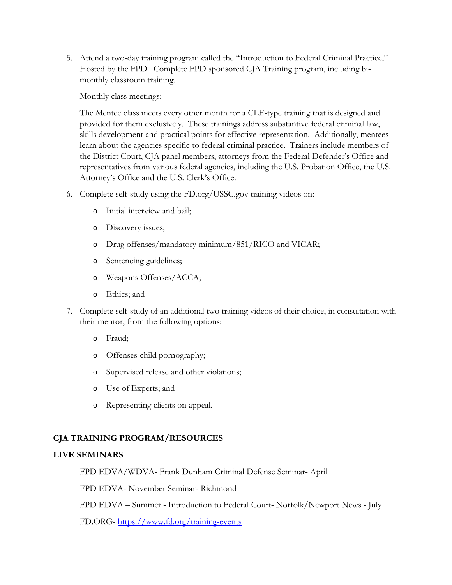5. Attend a two-day training program called the "Introduction to Federal Criminal Practice," Hosted by the FPD. Complete FPD sponsored CJA Training program, including bimonthly classroom training.

Monthly class meetings:

The Mentee class meets every other month for a CLE-type training that is designed and provided for them exclusively. These trainings address substantive federal criminal law, skills development and practical points for effective representation. Additionally, mentees learn about the agencies specific to federal criminal practice. Trainers include members of the District Court, CJA panel members, attorneys from the Federal Defender's Office and representatives from various federal agencies, including the U.S. Probation Office, the U.S. Attorney's Office and the U.S. Clerk's Office.

- 6. Complete self-study using the FD.org/USSC.gov training videos on:
	- o Initial interview and bail;
	- o Discovery issues;
	- o Drug offenses/mandatory minimum/851/RICO and VICAR;
	- o Sentencing guidelines;
	- o Weapons Offenses/ACCA;
	- o Ethics; and
- 7. Complete self-study of an additional two training videos of their choice, in consultation with their mentor, from the following options:
	- o Fraud;
	- o Offenses-child pornography;
	- o Supervised release and other violations;
	- o Use of Experts; and
	- o Representing clients on appeal.

# **CJA TRAINING PROGRAM/RESOURCES**

# **LIVE SEMINARS**

FPD EDVA/WDVA- Frank Dunham Criminal Defense Seminar- April

FPD EDVA- November Seminar- Richmond

FPD EDVA – Summer - Introduction to Federal Court- Norfolk/Newport News - July

FD.ORG- <https://www.fd.org/training-events>